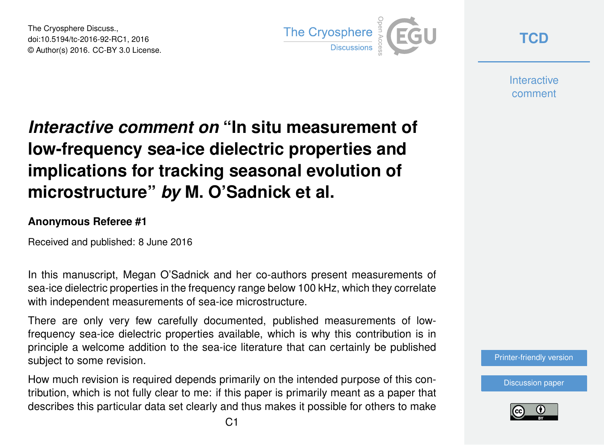The Cryosphere Discuss., doi:10.5194/tc-2016-92-RC1, 2016 © Author(s) 2016. CC-BY 3.0 License.



**[TCD](http://www.the-cryosphere-discuss.net/)**

**Interactive** comment

## *Interactive comment on* **"In situ measurement of low-frequency sea-ice dielectric properties and implications for tracking seasonal evolution of microstructure"** *by* **M. O'Sadnick et al.**

## **Anonymous Referee #1**

Received and published: 8 June 2016

In this manuscript, Megan O'Sadnick and her co-authors present measurements of sea-ice dielectric properties in the frequency range below 100 kHz, which they correlate with independent measurements of sea-ice microstructure.

There are only very few carefully documented, published measurements of lowfrequency sea-ice dielectric properties available, which is why this contribution is in principle a welcome addition to the sea-ice literature that can certainly be published subject to some revision.

How much revision is required depends primarily on the intended purpose of this contribution, which is not fully clear to me: if this paper is primarily meant as a paper that describes this particular data set clearly and thus makes it possible for others to make [Printer-friendly version](http://www.the-cryosphere-discuss.net/tc-2016-92/tc-2016-92-RC1-print.pdf)

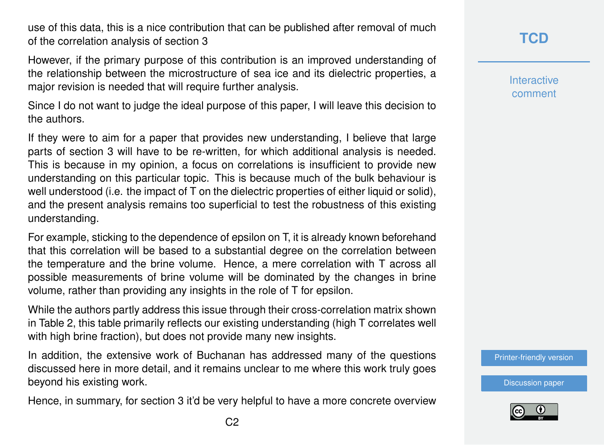use of this data, this is a nice contribution that can be published after removal of much of the correlation analysis of section 3

However, if the primary purpose of this contribution is an improved understanding of the relationship between the microstructure of sea ice and its dielectric properties, a major revision is needed that will require further analysis.

Since I do not want to judge the ideal purpose of this paper, I will leave this decision to the authors.

If they were to aim for a paper that provides new understanding, I believe that large parts of section 3 will have to be re-written, for which additional analysis is needed. This is because in my opinion, a focus on correlations is insufficient to provide new understanding on this particular topic. This is because much of the bulk behaviour is well understood (i.e. the impact of T on the dielectric properties of either liquid or solid), and the present analysis remains too superficial to test the robustness of this existing understanding.

For example, sticking to the dependence of epsilon on T, it is already known beforehand that this correlation will be based to a substantial degree on the correlation between the temperature and the brine volume. Hence, a mere correlation with T across all possible measurements of brine volume will be dominated by the changes in brine volume, rather than providing any insights in the role of T for epsilon.

While the authors partly address this issue through their cross-correlation matrix shown in Table 2, this table primarily reflects our existing understanding (high T correlates well with high brine fraction), but does not provide many new insights.

In addition, the extensive work of Buchanan has addressed many of the questions discussed here in more detail, and it remains unclear to me where this work truly goes beyond his existing work.

Hence, in summary, for section 3 it'd be very helpful to have a more concrete overview

**Interactive** comment

[Printer-friendly version](http://www.the-cryosphere-discuss.net/tc-2016-92/tc-2016-92-RC1-print.pdf)

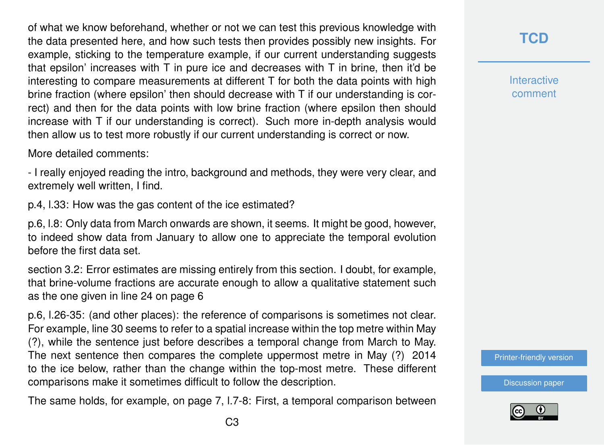of what we know beforehand, whether or not we can test this previous knowledge with the data presented here, and how such tests then provides possibly new insights. For example, sticking to the temperature example, if our current understanding suggests that epsilon' increases with T in pure ice and decreases with T in brine, then it'd be interesting to compare measurements at different T for both the data points with high brine fraction (where epsilon' then should decrease with T if our understanding is correct) and then for the data points with low brine fraction (where epsilon then should increase with T if our understanding is correct). Such more in-depth analysis would then allow us to test more robustly if our current understanding is correct or now.

More detailed comments:

- I really enjoyed reading the intro, background and methods, they were very clear, and extremely well written, I find.

p.4, l.33: How was the gas content of the ice estimated?

p.6, l.8: Only data from March onwards are shown, it seems. It might be good, however, to indeed show data from January to allow one to appreciate the temporal evolution before the first data set.

section 3.2: Error estimates are missing entirely from this section. I doubt, for example, that brine-volume fractions are accurate enough to allow a qualitative statement such as the one given in line 24 on page 6

p.6, l.26-35: (and other places): the reference of comparisons is sometimes not clear. For example, line 30 seems to refer to a spatial increase within the top metre within May (?), while the sentence just before describes a temporal change from March to May. The next sentence then compares the complete uppermost metre in May (?) 2014 to the ice below, rather than the change within the top-most metre. These different comparisons make it sometimes difficult to follow the description.

The same holds, for example, on page 7, l.7-8: First, a temporal comparison between

**Interactive** comment

[Printer-friendly version](http://www.the-cryosphere-discuss.net/tc-2016-92/tc-2016-92-RC1-print.pdf)